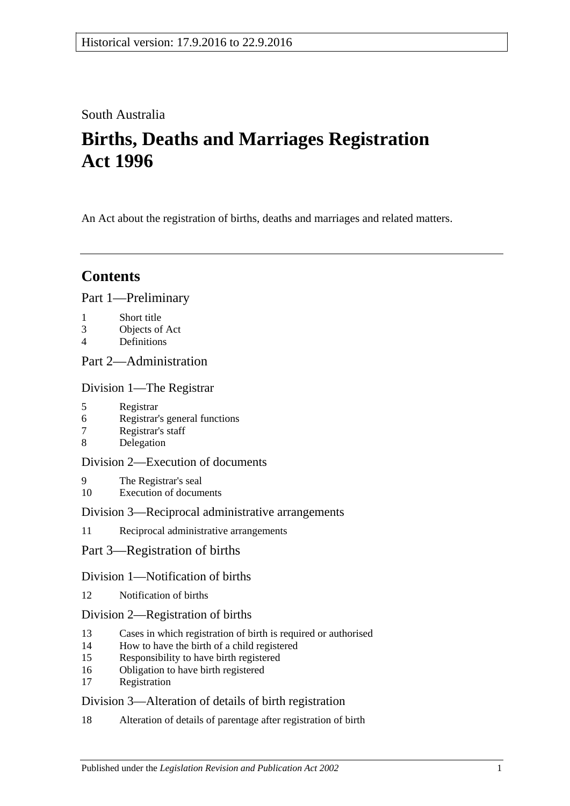## South Australia

# **Births, Deaths and Marriages Registration Act 1996**

An Act about the registration of births, deaths and marriages and related matters.

## **Contents**

## [Part 1—Preliminary](#page-3-0)

- 1 [Short title](#page-3-1)
- 3 [Objects of Act](#page-3-2)
- 4 [Definitions](#page-3-3)

## [Part 2—Administration](#page-5-0)

[Division 1—The Registrar](#page-5-1)

- 5 [Registrar](#page-5-2)
- 6 [Registrar's general functions](#page-5-3)
- 7 [Registrar's staff](#page-5-4)
- 8 [Delegation](#page-5-5)

## [Division 2—Execution of documents](#page-6-0)

- 9 [The Registrar's seal](#page-6-1)
- 10 [Execution of documents](#page-6-2)

## [Division 3—Reciprocal administrative arrangements](#page-6-3)

- 11 [Reciprocal administrative arrangements](#page-6-4)
- [Part 3—Registration of births](#page-7-0)

## [Division 1—Notification of births](#page-7-1)

12 [Notification of births](#page-7-2)

## [Division 2—Registration of births](#page-7-3)

- 13 [Cases in which registration of birth is required or authorised](#page-7-4)
- 14 [How to have the birth of a child registered](#page-8-0)
- 15 [Responsibility to have birth registered](#page-8-1)
- 16 [Obligation to have birth registered](#page-8-2)
- 17 [Registration](#page-8-3)

## [Division 3—Alteration of details of birth registration](#page-8-4)

18 [Alteration of details of parentage after registration of birth](#page-8-5)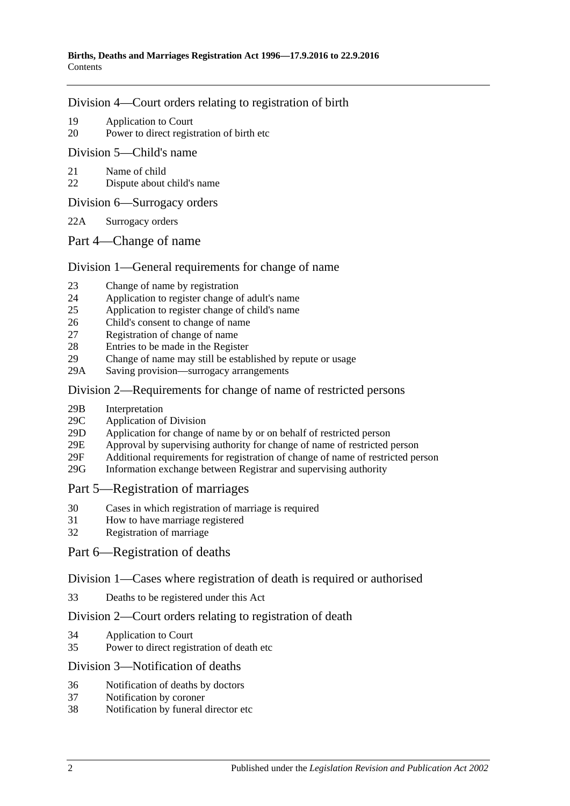### [Division 4—Court orders relating to registration of birth](#page-9-0)

- 19 [Application to Court](#page-9-1)
- 20 [Power to direct registration of birth etc](#page-9-2)

### [Division 5—Child's name](#page-9-3)

- 21 [Name of child](#page-9-4)
- 22 [Dispute about child's name](#page-10-0)
- [Division 6—Surrogacy orders](#page-10-1)
- 22A [Surrogacy orders](#page-10-2)
- [Part 4—Change of name](#page-11-0)

## [Division 1—General requirements for change of name](#page-11-1)

- 23 [Change of name by registration](#page-11-2)
- 24 [Application to register change of adult's name](#page-11-3)
- 25 [Application to register change of child's name](#page-11-4)
- 26 [Child's consent to change of name](#page-12-0)
- 27 [Registration of change of name](#page-12-1)
- 28 [Entries to be made in the Register](#page-13-0)
- 29 [Change of name may still be established by repute or usage](#page-13-1)
- 29A Saving [provision—surrogacy arrangements](#page-13-2)

## [Division 2—Requirements for change of name of restricted persons](#page-13-3)

- 29B [Interpretation](#page-13-4)
- 29C [Application of Division](#page-14-0)
- 29D [Application for change of name by or on behalf of restricted person](#page-14-1)
- 29E [Approval by supervising authority for change of name of restricted person](#page-15-0)
- 29F [Additional requirements for registration of change of name of restricted](#page-15-1) person
- 29G [Information exchange between Registrar and supervising authority](#page-16-0)

## [Part 5—Registration of marriages](#page-16-1)

- 30 [Cases in which registration of marriage is required](#page-16-2)
- 31 [How to have marriage registered](#page-16-3)
- 32 [Registration of marriage](#page-16-4)

## [Part 6—Registration of deaths](#page-16-5)

## [Division 1—Cases where registration of death is required or authorised](#page-16-6)

33 [Deaths to be registered under this Act](#page-16-7)

## [Division 2—Court orders relating to registration of death](#page-17-0)

- 34 [Application to Court](#page-17-1)
- 35 [Power to direct registration of death etc](#page-17-2)

## [Division 3—Notification of deaths](#page-17-3)

- 36 [Notification of deaths by doctors](#page-17-4)<br>37 Notification by coroner
- [Notification by coroner](#page-18-0)
- 38 [Notification by funeral director etc](#page-18-1)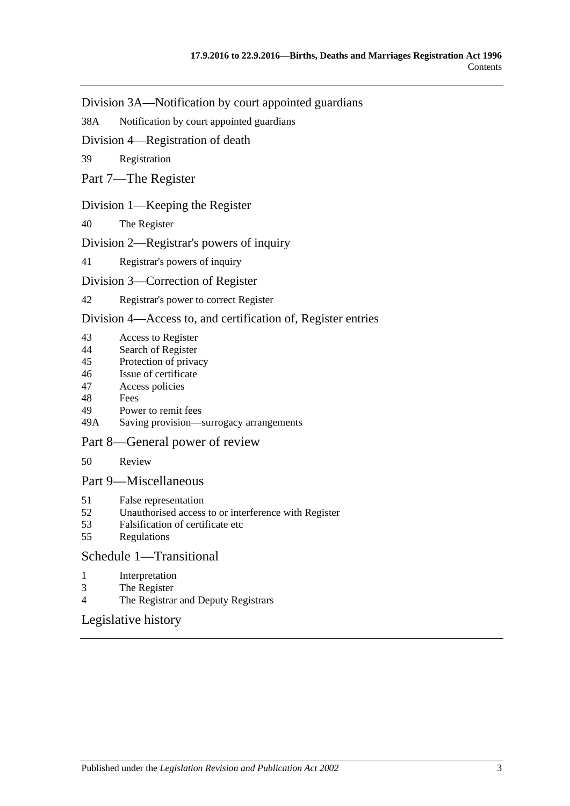[Division 3A—Notification by court appointed guardians](#page-19-0)

38A [Notification by court appointed guardians](#page-19-1)

[Division 4—Registration of death](#page-19-2)

39 [Registration](#page-19-3)

[Part 7—The Register](#page-19-4)

## [Division 1—Keeping the Register](#page-19-5)

40 [The Register](#page-19-6)

### [Division 2—Registrar's powers of inquiry](#page-20-0)

41 [Registrar's powers of inquiry](#page-20-1)

### [Division 3—Correction of Register](#page-20-2)

42 [Registrar's power to correct Register](#page-20-3)

### [Division 4—Access to, and certification of, Register entries](#page-21-0)

- 43 [Access to Register](#page-21-1)
- 44 [Search of Register](#page-21-2)<br>45 Protection of priva
- [Protection of privacy](#page-21-3)
- 46 [Issue of certificate](#page-22-0)
- 47 [Access policies](#page-22-1)
- 48 [Fees](#page-22-2)
- 49 [Power to remit fees](#page-22-3)
- 49A [Saving provision—surrogacy arrangements](#page-22-4)

#### [Part 8—General power of review](#page-23-0)

50 [Review](#page-23-1)

### [Part 9—Miscellaneous](#page-23-2)

- 51 [False representation](#page-23-3)
- 52 [Unauthorised access to or interference with Register](#page-23-4)
- 53 [Falsification of certificate etc](#page-23-5)
- 55 [Regulations](#page-23-6)

### [Schedule 1—Transitional](#page-24-0)

- 1 [Interpretation](#page-24-1)
- 3 [The Register](#page-24-2)
- 4 [The Registrar and Deputy Registrars](#page-24-3)

## [Legislative history](#page-25-0)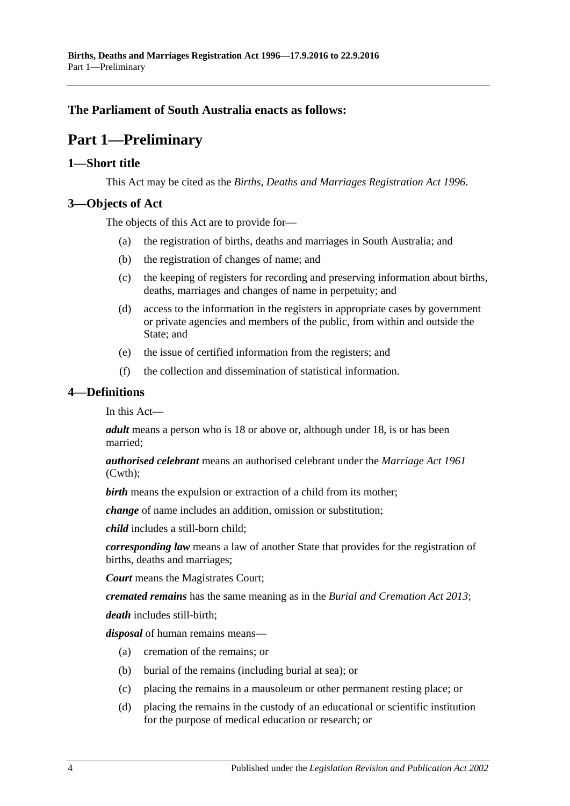## <span id="page-3-0"></span>**The Parliament of South Australia enacts as follows:**

# **Part 1—Preliminary**

## <span id="page-3-1"></span>**1—Short title**

This Act may be cited as the *Births, Deaths and Marriages Registration Act 1996*.

## <span id="page-3-2"></span>**3—Objects of Act**

The objects of this Act are to provide for—

- (a) the registration of births, deaths and marriages in South Australia; and
- (b) the registration of changes of name; and
- (c) the keeping of registers for recording and preserving information about births, deaths, marriages and changes of name in perpetuity; and
- (d) access to the information in the registers in appropriate cases by government or private agencies and members of the public, from within and outside the State; and
- (e) the issue of certified information from the registers; and
- (f) the collection and dissemination of statistical information.

## <span id="page-3-3"></span>**4—Definitions**

In this Act—

*adult* means a person who is 18 or above or, although under 18, is or has been married;

*authorised celebrant* means an authorised celebrant under the *Marriage Act 1961* (Cwth);

*birth* means the expulsion or extraction of a child from its mother;

*change* of name includes an addition, omission or substitution;

*child* includes a still-born child;

*corresponding law* means a law of another State that provides for the registration of births, deaths and marriages;

*Court* means the Magistrates Court;

*cremated remains* has the same meaning as in the *[Burial and Cremation Act](http://www.legislation.sa.gov.au/index.aspx?action=legref&type=act&legtitle=Burial%20and%20Cremation%20Act%202013) 2013*;

*death* includes still-birth;

*disposal* of human remains means—

- (a) cremation of the remains; or
- (b) burial of the remains (including burial at sea); or
- (c) placing the remains in a mausoleum or other permanent resting place; or
- (d) placing the remains in the custody of an educational or scientific institution for the purpose of medical education or research; or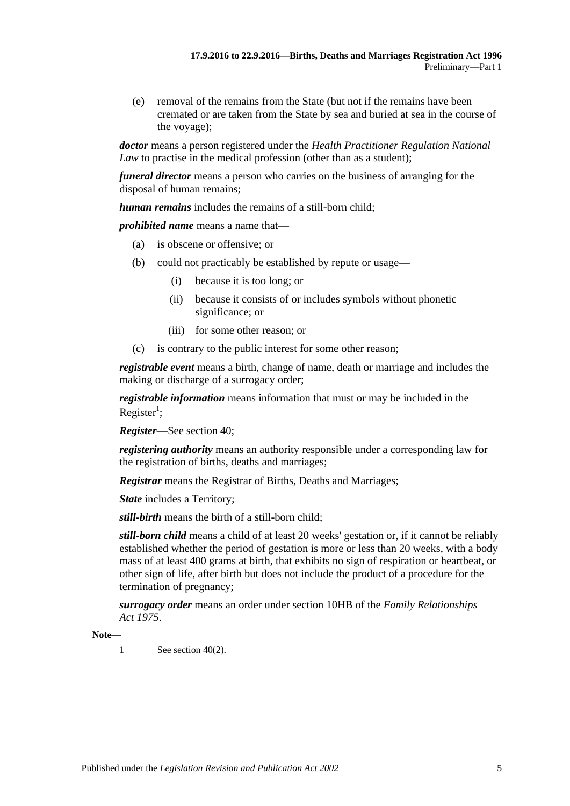(e) removal of the remains from the State (but not if the remains have been cremated or are taken from the State by sea and buried at sea in the course of the voyage);

*doctor* means a person registered under the *Health Practitioner Regulation National Law* to practise in the medical profession (other than as a student);

*funeral director* means a person who carries on the business of arranging for the disposal of human remains;

*human remains* includes the remains of a still-born child;

*prohibited name* means a name that—

- (a) is obscene or offensive; or
- (b) could not practicably be established by repute or usage—
	- (i) because it is too long; or
	- (ii) because it consists of or includes symbols without phonetic significance; or
	- (iii) for some other reason; or
- (c) is contrary to the public interest for some other reason;

*registrable event* means a birth, change of name, death or marriage and includes the making or discharge of a surrogacy order;

*registrable information* means information that must or may be included in the Register<sup>1</sup>;

*Register*—See [section](#page-19-6) 40;

*registering authority* means an authority responsible under a corresponding law for the registration of births, deaths and marriages;

*Registrar* means the Registrar of Births, Deaths and Marriages;

*State* includes a Territory;

*still-birth* means the birth of a still-born child;

*still-born child* means a child of at least 20 weeks' gestation or, if it cannot be reliably established whether the period of gestation is more or less than 20 weeks, with a body mass of at least 400 grams at birth, that exhibits no sign of respiration or heartbeat, or other sign of life, after birth but does not include the product of a procedure for the termination of pregnancy;

*surrogacy order* means an order under section 10HB of the *[Family Relationships](http://www.legislation.sa.gov.au/index.aspx?action=legref&type=act&legtitle=Family%20Relationships%20Act%201975)  Act [1975](http://www.legislation.sa.gov.au/index.aspx?action=legref&type=act&legtitle=Family%20Relationships%20Act%201975)*.

**Note—**

1 See [section](#page-20-4)  $40(2)$ .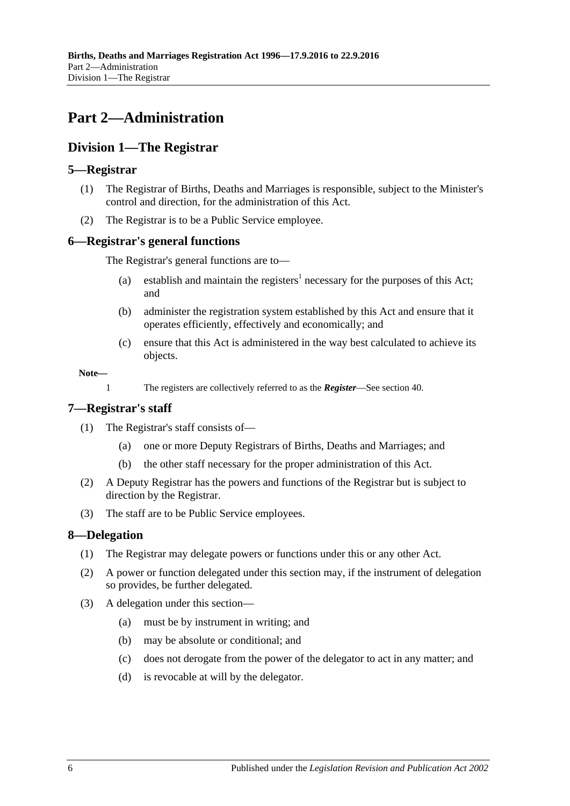# <span id="page-5-0"></span>**Part 2—Administration**

## <span id="page-5-1"></span>**Division 1—The Registrar**

## <span id="page-5-2"></span>**5—Registrar**

- (1) The Registrar of Births, Deaths and Marriages is responsible, subject to the Minister's control and direction, for the administration of this Act.
- (2) The Registrar is to be a Public Service employee.

## <span id="page-5-3"></span>**6—Registrar's general functions**

The Registrar's general functions are to—

- (a) establish and maintain the registers<sup>1</sup> necessary for the purposes of this Act; and
- (b) administer the registration system established by this Act and ensure that it operates efficiently, effectively and economically; and
- (c) ensure that this Act is administered in the way best calculated to achieve its objects.

**Note—**

1 The registers are collectively referred to as the *Register*—See [section](#page-19-6) 40.

### <span id="page-5-4"></span>**7—Registrar's staff**

- (1) The Registrar's staff consists of—
	- (a) one or more Deputy Registrars of Births, Deaths and Marriages; and
	- (b) the other staff necessary for the proper administration of this Act.
- (2) A Deputy Registrar has the powers and functions of the Registrar but is subject to direction by the Registrar.
- (3) The staff are to be Public Service employees.

## <span id="page-5-5"></span>**8—Delegation**

- (1) The Registrar may delegate powers or functions under this or any other Act.
- (2) A power or function delegated under this section may, if the instrument of delegation so provides, be further delegated.
- (3) A delegation under this section—
	- (a) must be by instrument in writing; and
	- (b) may be absolute or conditional; and
	- (c) does not derogate from the power of the delegator to act in any matter; and
	- (d) is revocable at will by the delegator.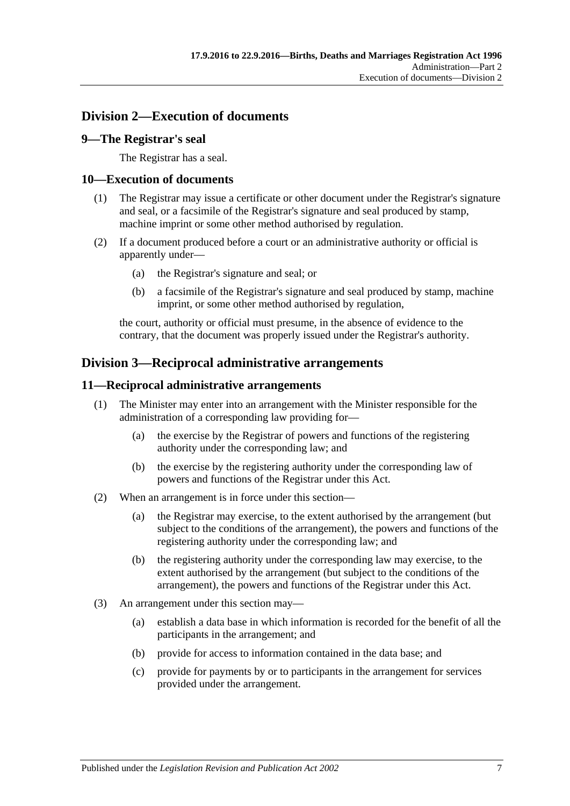## <span id="page-6-0"></span>**Division 2—Execution of documents**

## <span id="page-6-1"></span>**9—The Registrar's seal**

The Registrar has a seal.

### <span id="page-6-2"></span>**10—Execution of documents**

- (1) The Registrar may issue a certificate or other document under the Registrar's signature and seal, or a facsimile of the Registrar's signature and seal produced by stamp, machine imprint or some other method authorised by regulation.
- (2) If a document produced before a court or an administrative authority or official is apparently under—
	- (a) the Registrar's signature and seal; or
	- (b) a facsimile of the Registrar's signature and seal produced by stamp, machine imprint, or some other method authorised by regulation,

the court, authority or official must presume, in the absence of evidence to the contrary, that the document was properly issued under the Registrar's authority.

## <span id="page-6-3"></span>**Division 3—Reciprocal administrative arrangements**

#### <span id="page-6-4"></span>**11—Reciprocal administrative arrangements**

- (1) The Minister may enter into an arrangement with the Minister responsible for the administration of a corresponding law providing for—
	- (a) the exercise by the Registrar of powers and functions of the registering authority under the corresponding law; and
	- (b) the exercise by the registering authority under the corresponding law of powers and functions of the Registrar under this Act.
- (2) When an arrangement is in force under this section—
	- (a) the Registrar may exercise, to the extent authorised by the arrangement (but subject to the conditions of the arrangement), the powers and functions of the registering authority under the corresponding law; and
	- (b) the registering authority under the corresponding law may exercise, to the extent authorised by the arrangement (but subject to the conditions of the arrangement), the powers and functions of the Registrar under this Act.
- (3) An arrangement under this section may—
	- (a) establish a data base in which information is recorded for the benefit of all the participants in the arrangement; and
	- (b) provide for access to information contained in the data base; and
	- (c) provide for payments by or to participants in the arrangement for services provided under the arrangement.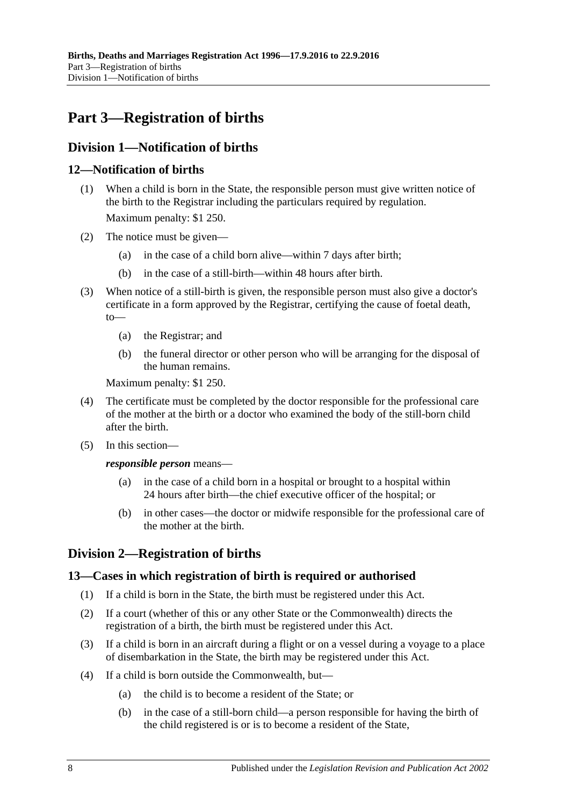# <span id="page-7-0"></span>**Part 3—Registration of births**

## <span id="page-7-1"></span>**Division 1—Notification of births**

## <span id="page-7-2"></span>**12—Notification of births**

- (1) When a child is born in the State, the responsible person must give written notice of the birth to the Registrar including the particulars required by regulation. Maximum penalty: \$1 250.
- (2) The notice must be given—
	- (a) in the case of a child born alive—within 7 days after birth;
	- (b) in the case of a still-birth—within 48 hours after birth.
- (3) When notice of a still-birth is given, the responsible person must also give a doctor's certificate in a form approved by the Registrar, certifying the cause of foetal death, to—
	- (a) the Registrar; and
	- (b) the funeral director or other person who will be arranging for the disposal of the human remains.

Maximum penalty: \$1 250.

- (4) The certificate must be completed by the doctor responsible for the professional care of the mother at the birth or a doctor who examined the body of the still-born child after the birth.
- (5) In this section—

*responsible person* means—

- (a) in the case of a child born in a hospital or brought to a hospital within 24 hours after birth—the chief executive officer of the hospital; or
- (b) in other cases—the doctor or midwife responsible for the professional care of the mother at the birth.

## <span id="page-7-3"></span>**Division 2—Registration of births**

## <span id="page-7-4"></span>**13—Cases in which registration of birth is required or authorised**

- (1) If a child is born in the State, the birth must be registered under this Act.
- (2) If a court (whether of this or any other State or the Commonwealth) directs the registration of a birth, the birth must be registered under this Act.
- <span id="page-7-5"></span>(3) If a child is born in an aircraft during a flight or on a vessel during a voyage to a place of disembarkation in the State, the birth may be registered under this Act.
- <span id="page-7-6"></span>(4) If a child is born outside the Commonwealth, but—
	- (a) the child is to become a resident of the State; or
	- (b) in the case of a still-born child—a person responsible for having the birth of the child registered is or is to become a resident of the State,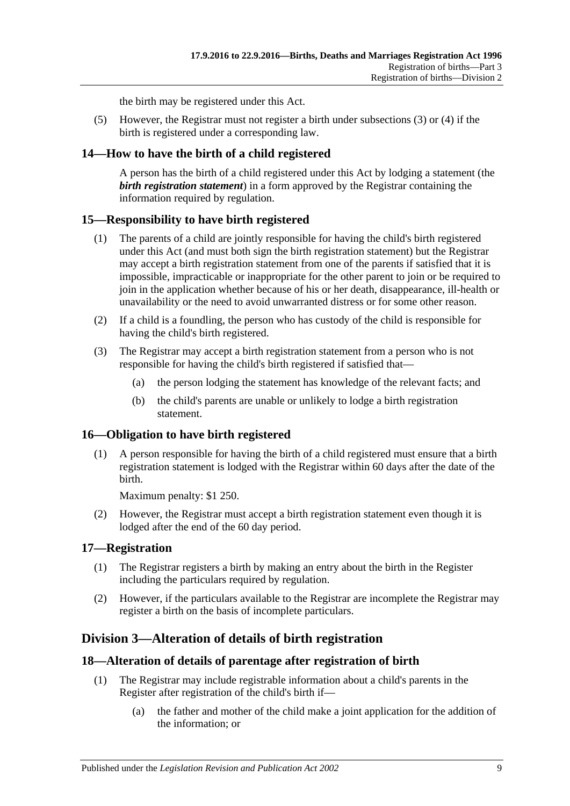the birth may be registered under this Act.

(5) However, the Registrar must not register a birth under [subsections](#page-7-5) (3) or [\(4\)](#page-7-6) if the birth is registered under a corresponding law.

## <span id="page-8-0"></span>**14—How to have the birth of a child registered**

A person has the birth of a child registered under this Act by lodging a statement (the *birth registration statement*) in a form approved by the Registrar containing the information required by regulation.

## <span id="page-8-1"></span>**15—Responsibility to have birth registered**

- (1) The parents of a child are jointly responsible for having the child's birth registered under this Act (and must both sign the birth registration statement) but the Registrar may accept a birth registration statement from one of the parents if satisfied that it is impossible, impracticable or inappropriate for the other parent to join or be required to join in the application whether because of his or her death, disappearance, ill-health or unavailability or the need to avoid unwarranted distress or for some other reason.
- (2) If a child is a foundling, the person who has custody of the child is responsible for having the child's birth registered.
- (3) The Registrar may accept a birth registration statement from a person who is not responsible for having the child's birth registered if satisfied that—
	- (a) the person lodging the statement has knowledge of the relevant facts; and
	- (b) the child's parents are unable or unlikely to lodge a birth registration statement.

## <span id="page-8-2"></span>**16—Obligation to have birth registered**

(1) A person responsible for having the birth of a child registered must ensure that a birth registration statement is lodged with the Registrar within 60 days after the date of the birth.

Maximum penalty: \$1 250.

(2) However, the Registrar must accept a birth registration statement even though it is lodged after the end of the 60 day period.

#### <span id="page-8-3"></span>**17—Registration**

- (1) The Registrar registers a birth by making an entry about the birth in the Register including the particulars required by regulation.
- (2) However, if the particulars available to the Registrar are incomplete the Registrar may register a birth on the basis of incomplete particulars.

## <span id="page-8-4"></span>**Division 3—Alteration of details of birth registration**

#### <span id="page-8-5"></span>**18—Alteration of details of parentage after registration of birth**

- (1) The Registrar may include registrable information about a child's parents in the Register after registration of the child's birth if—
	- (a) the father and mother of the child make a joint application for the addition of the information; or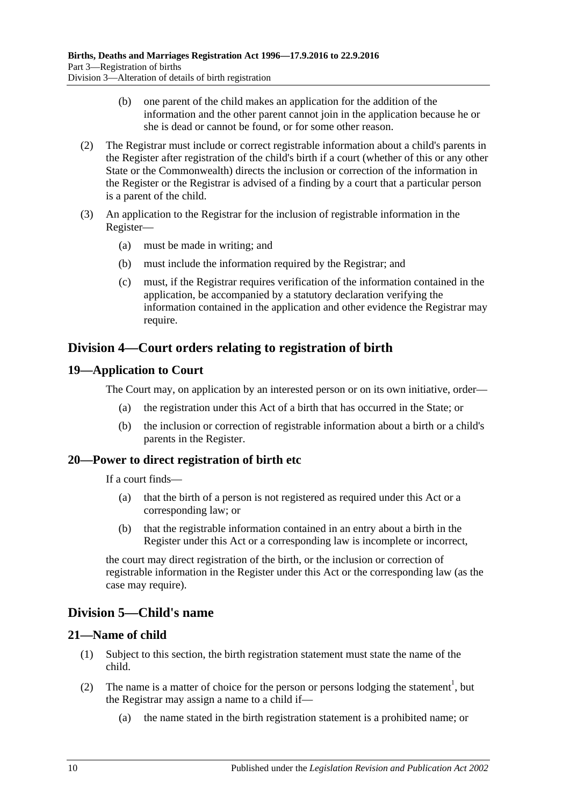- (b) one parent of the child makes an application for the addition of the information and the other parent cannot join in the application because he or she is dead or cannot be found, or for some other reason.
- (2) The Registrar must include or correct registrable information about a child's parents in the Register after registration of the child's birth if a court (whether of this or any other State or the Commonwealth) directs the inclusion or correction of the information in the Register or the Registrar is advised of a finding by a court that a particular person is a parent of the child.
- (3) An application to the Registrar for the inclusion of registrable information in the Register—
	- (a) must be made in writing; and
	- (b) must include the information required by the Registrar; and
	- (c) must, if the Registrar requires verification of the information contained in the application, be accompanied by a statutory declaration verifying the information contained in the application and other evidence the Registrar may require.

## <span id="page-9-0"></span>**Division 4—Court orders relating to registration of birth**

## <span id="page-9-1"></span>**19—Application to Court**

The Court may, on application by an interested person or on its own initiative, order—

- (a) the registration under this Act of a birth that has occurred in the State; or
- (b) the inclusion or correction of registrable information about a birth or a child's parents in the Register.

## <span id="page-9-2"></span>**20—Power to direct registration of birth etc**

If a court finds—

- (a) that the birth of a person is not registered as required under this Act or a corresponding law; or
- (b) that the registrable information contained in an entry about a birth in the Register under this Act or a corresponding law is incomplete or incorrect,

the court may direct registration of the birth, or the inclusion or correction of registrable information in the Register under this Act or the corresponding law (as the case may require).

## <span id="page-9-3"></span>**Division 5—Child's name**

## <span id="page-9-4"></span>**21—Name of child**

- (1) Subject to this section, the birth registration statement must state the name of the child.
- (2) The name is a matter of choice for the person or persons lodging the statement<sup>1</sup>, but the Registrar may assign a name to a child if—
	- (a) the name stated in the birth registration statement is a prohibited name; or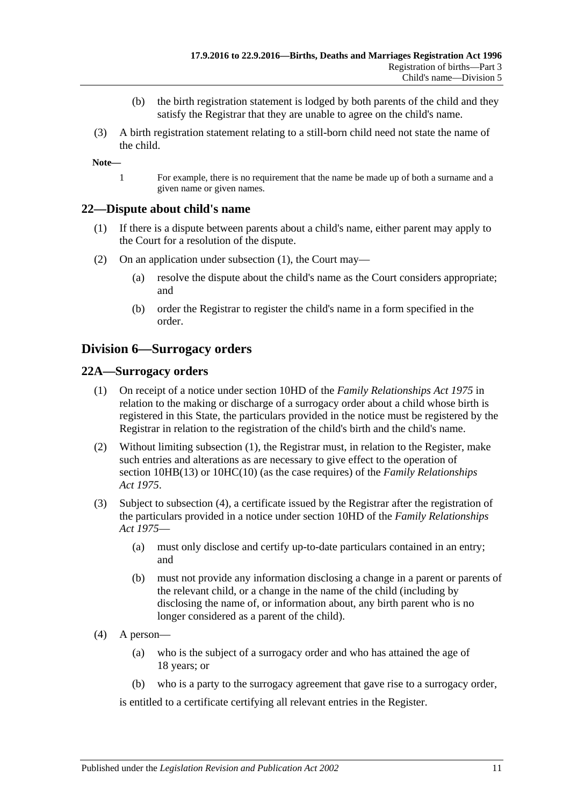- (b) the birth registration statement is lodged by both parents of the child and they satisfy the Registrar that they are unable to agree on the child's name.
- (3) A birth registration statement relating to a still-born child need not state the name of the child.

**Note—**

1 For example, there is no requirement that the name be made up of both a surname and a given name or given names.

#### <span id="page-10-3"></span><span id="page-10-0"></span>**22—Dispute about child's name**

- (1) If there is a dispute between parents about a child's name, either parent may apply to the Court for a resolution of the dispute.
- (2) On an application under [subsection](#page-10-3) (1), the Court may—
	- (a) resolve the dispute about the child's name as the Court considers appropriate; and
	- (b) order the Registrar to register the child's name in a form specified in the order.

## <span id="page-10-1"></span>**Division 6—Surrogacy orders**

#### <span id="page-10-4"></span><span id="page-10-2"></span>**22A—Surrogacy orders**

- (1) On receipt of a notice under section 10HD of the *[Family Relationships Act](http://www.legislation.sa.gov.au/index.aspx?action=legref&type=act&legtitle=Family%20Relationships%20Act%201975) 1975* in relation to the making or discharge of a surrogacy order about a child whose birth is registered in this State, the particulars provided in the notice must be registered by the Registrar in relation to the registration of the child's birth and the child's name.
- (2) Without limiting [subsection](#page-10-4) (1), the Registrar must, in relation to the Register, make such entries and alterations as are necessary to give effect to the operation of section 10HB(13) or 10HC(10) (as the case requires) of the *[Family Relationships](http://www.legislation.sa.gov.au/index.aspx?action=legref&type=act&legtitle=Family%20Relationships%20Act%201975)  Act [1975](http://www.legislation.sa.gov.au/index.aspx?action=legref&type=act&legtitle=Family%20Relationships%20Act%201975)*.
- (3) Subject to [subsection](#page-10-5) (4), a certificate issued by the Registrar after the registration of the particulars provided in a notice under section 10HD of the *[Family Relationships](http://www.legislation.sa.gov.au/index.aspx?action=legref&type=act&legtitle=Family%20Relationships%20Act%201975)  Act [1975](http://www.legislation.sa.gov.au/index.aspx?action=legref&type=act&legtitle=Family%20Relationships%20Act%201975)*—
	- (a) must only disclose and certify up-to-date particulars contained in an entry; and
	- (b) must not provide any information disclosing a change in a parent or parents of the relevant child, or a change in the name of the child (including by disclosing the name of, or information about, any birth parent who is no longer considered as a parent of the child).
- <span id="page-10-5"></span>(4) A person—
	- (a) who is the subject of a surrogacy order and who has attained the age of 18 years; or
	- (b) who is a party to the surrogacy agreement that gave rise to a surrogacy order,

is entitled to a certificate certifying all relevant entries in the Register.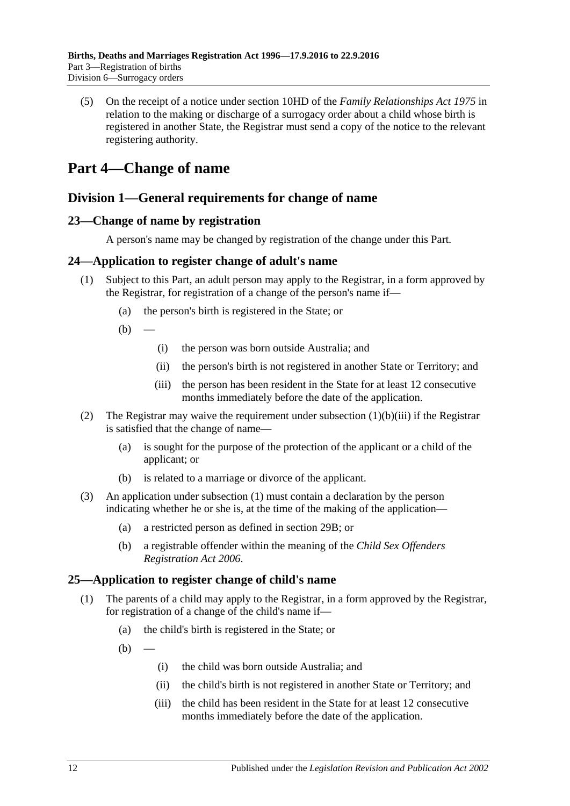(5) On the receipt of a notice under section 10HD of the *[Family Relationships Act](http://www.legislation.sa.gov.au/index.aspx?action=legref&type=act&legtitle=Family%20Relationships%20Act%201975) 1975* in relation to the making or discharge of a surrogacy order about a child whose birth is registered in another State, the Registrar must send a copy of the notice to the relevant registering authority.

# <span id="page-11-0"></span>**Part 4—Change of name**

## <span id="page-11-1"></span>**Division 1—General requirements for change of name**

## <span id="page-11-2"></span>**23—Change of name by registration**

A person's name may be changed by registration of the change under this Part.

## <span id="page-11-6"></span><span id="page-11-3"></span>**24—Application to register change of adult's name**

- (1) Subject to this Part, an adult person may apply to the Registrar, in a form approved by the Registrar, for registration of a change of the person's name if—
	- (a) the person's birth is registered in the State; or
	- $(b)$  —
- (i) the person was born outside Australia; and
- (ii) the person's birth is not registered in another State or Territory; and
- (iii) the person has been resident in the State for at least 12 consecutive months immediately before the date of the application.
- <span id="page-11-5"></span>(2) The Registrar may waive the requirement under [subsection](#page-11-5)  $(1)(b)(iii)$  if the Registrar is satisfied that the change of name—
	- (a) is sought for the purpose of the protection of the applicant or a child of the applicant; or
	- (b) is related to a marriage or divorce of the applicant.
- (3) An application under [subsection](#page-11-6) (1) must contain a declaration by the person indicating whether he or she is, at the time of the making of the application—
	- (a) a restricted person as defined in [section](#page-13-4) 29B; or
	- (b) a registrable offender within the meaning of the *[Child Sex Offenders](http://www.legislation.sa.gov.au/index.aspx?action=legref&type=act&legtitle=Child%20Sex%20Offenders%20Registration%20Act%202006)  [Registration Act](http://www.legislation.sa.gov.au/index.aspx?action=legref&type=act&legtitle=Child%20Sex%20Offenders%20Registration%20Act%202006) 2006*.

## <span id="page-11-4"></span>**25—Application to register change of child's name**

- (1) The parents of a child may apply to the Registrar, in a form approved by the Registrar, for registration of a change of the child's name if—
	- (a) the child's birth is registered in the State; or
	- $(h)$
- (i) the child was born outside Australia; and
- (ii) the child's birth is not registered in another State or Territory; and
- <span id="page-11-7"></span>(iii) the child has been resident in the State for at least 12 consecutive months immediately before the date of the application.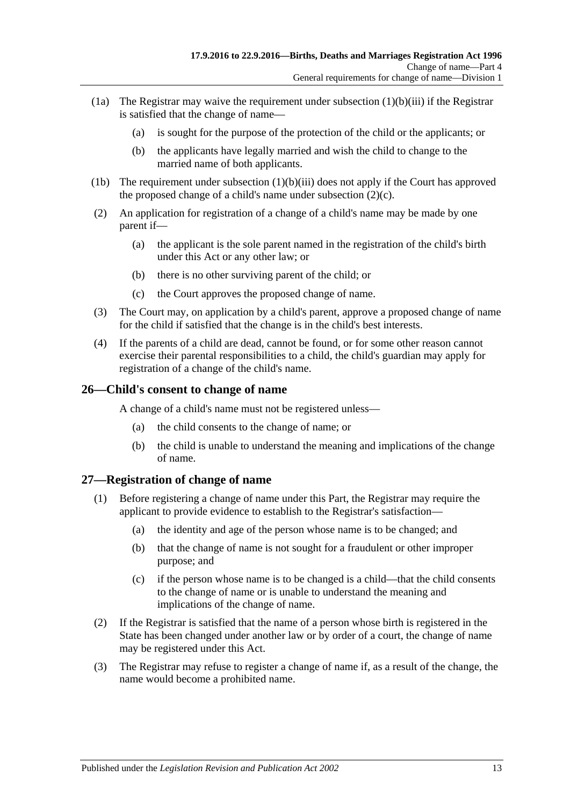- (1a) The Registrar may waive the requirement under [subsection](#page-11-7)  $(1)(b)(iii)$  if the Registrar is satisfied that the change of name—
	- (a) is sought for the purpose of the protection of the child or the applicants; or
	- (b) the applicants have legally married and wish the child to change to the married name of both applicants.
- (1b) The requirement under [subsection](#page-11-7)  $(1)(b)(iii)$  does not apply if the Court has approved the proposed change of a child's name under [subsection](#page-12-2) (2)(c).
- (2) An application for registration of a change of a child's name may be made by one parent if—
	- (a) the applicant is the sole parent named in the registration of the child's birth under this Act or any other law; or
	- (b) there is no other surviving parent of the child; or
	- (c) the Court approves the proposed change of name.
- <span id="page-12-2"></span>(3) The Court may, on application by a child's parent, approve a proposed change of name for the child if satisfied that the change is in the child's best interests.
- (4) If the parents of a child are dead, cannot be found, or for some other reason cannot exercise their parental responsibilities to a child, the child's guardian may apply for registration of a change of the child's name.

### <span id="page-12-0"></span>**26—Child's consent to change of name**

A change of a child's name must not be registered unless—

- (a) the child consents to the change of name; or
- (b) the child is unable to understand the meaning and implications of the change of name.

## <span id="page-12-1"></span>**27—Registration of change of name**

- (1) Before registering a change of name under this Part, the Registrar may require the applicant to provide evidence to establish to the Registrar's satisfaction—
	- (a) the identity and age of the person whose name is to be changed; and
	- (b) that the change of name is not sought for a fraudulent or other improper purpose; and
	- (c) if the person whose name is to be changed is a child—that the child consents to the change of name or is unable to understand the meaning and implications of the change of name.
- (2) If the Registrar is satisfied that the name of a person whose birth is registered in the State has been changed under another law or by order of a court, the change of name may be registered under this Act.
- (3) The Registrar may refuse to register a change of name if, as a result of the change, the name would become a prohibited name.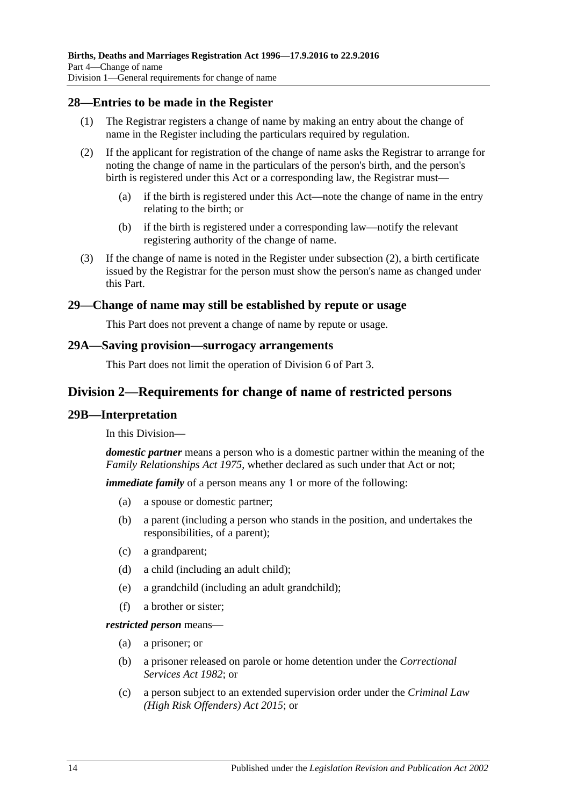### <span id="page-13-0"></span>**28—Entries to be made in the Register**

- (1) The Registrar registers a change of name by making an entry about the change of name in the Register including the particulars required by regulation.
- <span id="page-13-5"></span>(2) If the applicant for registration of the change of name asks the Registrar to arrange for noting the change of name in the particulars of the person's birth, and the person's birth is registered under this Act or a corresponding law, the Registrar must—
	- (a) if the birth is registered under this Act—note the change of name in the entry relating to the birth; or
	- (b) if the birth is registered under a corresponding law—notify the relevant registering authority of the change of name.
- (3) If the change of name is noted in the Register under [subsection](#page-13-5) (2), a birth certificate issued by the Registrar for the person must show the person's name as changed under this Part.

#### <span id="page-13-1"></span>**29—Change of name may still be established by repute or usage**

This Part does not prevent a change of name by repute or usage.

#### <span id="page-13-2"></span>**29A—Saving provision—surrogacy arrangements**

This Part does not limit the operation of [Division 6](#page-10-1) of [Part 3.](#page-7-0)

### <span id="page-13-3"></span>**Division 2—Requirements for change of name of restricted persons**

#### <span id="page-13-4"></span>**29B—Interpretation**

In this Division—

*domestic partner* means a person who is a domestic partner within the meaning of the *[Family Relationships Act](http://www.legislation.sa.gov.au/index.aspx?action=legref&type=act&legtitle=Family%20Relationships%20Act%201975) 1975*, whether declared as such under that Act or not;

*immediate family* of a person means any 1 or more of the following:

- (a) a spouse or domestic partner;
- (b) a parent (including a person who stands in the position, and undertakes the responsibilities, of a parent);
- (c) a grandparent;
- (d) a child (including an adult child);
- (e) a grandchild (including an adult grandchild);
- (f) a brother or sister;

*restricted person* means—

- (a) a prisoner; or
- (b) a prisoner released on parole or home detention under the *[Correctional](http://www.legislation.sa.gov.au/index.aspx?action=legref&type=act&legtitle=Correctional%20Services%20Act%201982)  [Services Act](http://www.legislation.sa.gov.au/index.aspx?action=legref&type=act&legtitle=Correctional%20Services%20Act%201982) 1982*; or
- (c) a person subject to an extended supervision order under the *[Criminal Law](http://www.legislation.sa.gov.au/index.aspx?action=legref&type=act&legtitle=Criminal%20Law%20(High%20Risk%20Offenders)%20Act%202015)  [\(High Risk Offenders\) Act](http://www.legislation.sa.gov.au/index.aspx?action=legref&type=act&legtitle=Criminal%20Law%20(High%20Risk%20Offenders)%20Act%202015) 2015*; or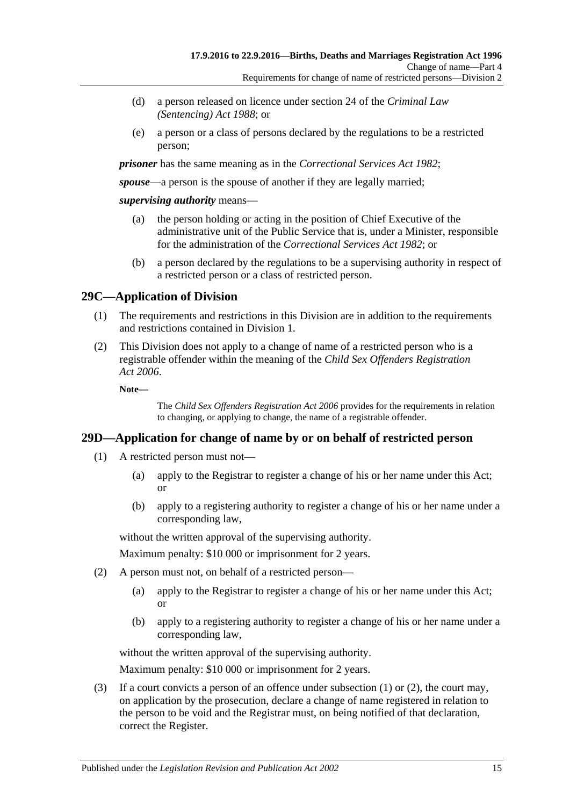- (d) a person released on licence under section 24 of the *[Criminal Law](http://www.legislation.sa.gov.au/index.aspx?action=legref&type=act&legtitle=Criminal%20Law%20(Sentencing)%20Act%201988)  [\(Sentencing\) Act](http://www.legislation.sa.gov.au/index.aspx?action=legref&type=act&legtitle=Criminal%20Law%20(Sentencing)%20Act%201988) 1988*; or
- (e) a person or a class of persons declared by the regulations to be a restricted person;

*prisoner* has the same meaning as in the *[Correctional Services Act](http://www.legislation.sa.gov.au/index.aspx?action=legref&type=act&legtitle=Correctional%20Services%20Act%201982) 1982*;

*spouse*—a person is the spouse of another if they are legally married;

#### *supervising authority* means—

- (a) the person holding or acting in the position of Chief Executive of the administrative unit of the Public Service that is, under a Minister, responsible for the administration of the *[Correctional Services Act](http://www.legislation.sa.gov.au/index.aspx?action=legref&type=act&legtitle=Correctional%20Services%20Act%201982) 1982*; or
- (b) a person declared by the regulations to be a supervising authority in respect of a restricted person or a class of restricted person.

## <span id="page-14-0"></span>**29C—Application of Division**

- (1) The requirements and restrictions in this Division are in addition to the requirements and restrictions contained in [Division 1.](#page-11-1)
- (2) This Division does not apply to a change of name of a restricted person who is a registrable offender within the meaning of the *[Child Sex Offenders Registration](http://www.legislation.sa.gov.au/index.aspx?action=legref&type=act&legtitle=Child%20Sex%20Offenders%20Registration%20Act%202006)  Act [2006](http://www.legislation.sa.gov.au/index.aspx?action=legref&type=act&legtitle=Child%20Sex%20Offenders%20Registration%20Act%202006)*.

**Note—**

The *[Child Sex Offenders Registration Act](http://www.legislation.sa.gov.au/index.aspx?action=legref&type=act&legtitle=Child%20Sex%20Offenders%20Registration%20Act%202006) 2006* provides for the requirements in relation to changing, or applying to change, the name of a registrable offender.

## <span id="page-14-2"></span><span id="page-14-1"></span>**29D—Application for change of name by or on behalf of restricted person**

- (1) A restricted person must not—
	- (a) apply to the Registrar to register a change of his or her name under this Act; or
	- (b) apply to a registering authority to register a change of his or her name under a corresponding law,

without the written approval of the supervising authority.

Maximum penalty: \$10 000 or imprisonment for 2 years.

- <span id="page-14-3"></span>(2) A person must not, on behalf of a restricted person—
	- (a) apply to the Registrar to register a change of his or her name under this Act; or
	- (b) apply to a registering authority to register a change of his or her name under a corresponding law,

without the written approval of the supervising authority.

Maximum penalty: \$10 000 or imprisonment for 2 years.

(3) If a court convicts a person of an offence under subsection  $(1)$  or  $(2)$ , the court may, on application by the prosecution, declare a change of name registered in relation to the person to be void and the Registrar must, on being notified of that declaration, correct the Register.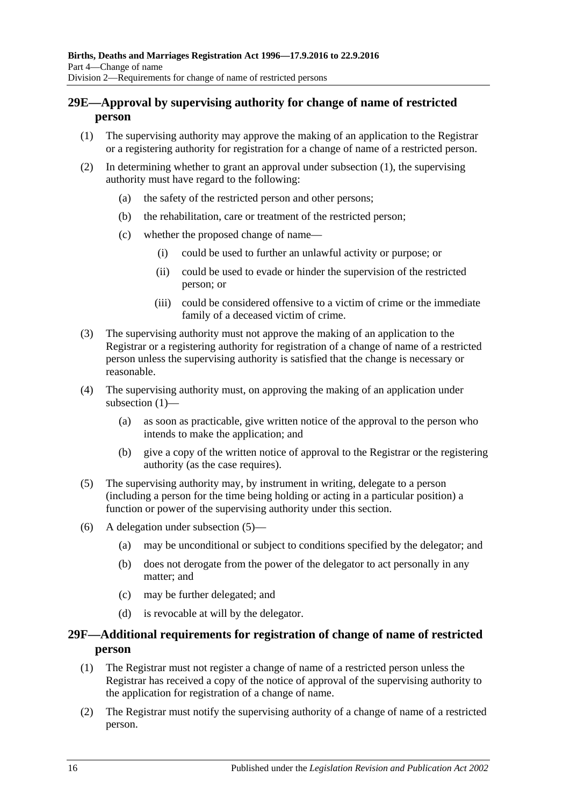## <span id="page-15-0"></span>**29E—Approval by supervising authority for change of name of restricted person**

- <span id="page-15-2"></span>(1) The supervising authority may approve the making of an application to the Registrar or a registering authority for registration for a change of name of a restricted person.
- (2) In determining whether to grant an approval under [subsection](#page-15-2) (1), the supervising authority must have regard to the following:
	- (a) the safety of the restricted person and other persons;
	- (b) the rehabilitation, care or treatment of the restricted person;
	- (c) whether the proposed change of name—
		- (i) could be used to further an unlawful activity or purpose; or
		- (ii) could be used to evade or hinder the supervision of the restricted person; or
		- (iii) could be considered offensive to a victim of crime or the immediate family of a deceased victim of crime.
- (3) The supervising authority must not approve the making of an application to the Registrar or a registering authority for registration of a change of name of a restricted person unless the supervising authority is satisfied that the change is necessary or reasonable.
- (4) The supervising authority must, on approving the making of an application under [subsection](#page-15-2) (1)—
	- (a) as soon as practicable, give written notice of the approval to the person who intends to make the application; and
	- (b) give a copy of the written notice of approval to the Registrar or the registering authority (as the case requires).
- <span id="page-15-3"></span>(5) The supervising authority may, by instrument in writing, delegate to a person (including a person for the time being holding or acting in a particular position) a function or power of the supervising authority under this section.
- (6) A delegation under [subsection](#page-15-3) (5)—
	- (a) may be unconditional or subject to conditions specified by the delegator; and
	- (b) does not derogate from the power of the delegator to act personally in any matter; and
	- (c) may be further delegated; and
	- (d) is revocable at will by the delegator.

## <span id="page-15-1"></span>**29F—Additional requirements for registration of change of name of restricted person**

- (1) The Registrar must not register a change of name of a restricted person unless the Registrar has received a copy of the notice of approval of the supervising authority to the application for registration of a change of name.
- (2) The Registrar must notify the supervising authority of a change of name of a restricted person.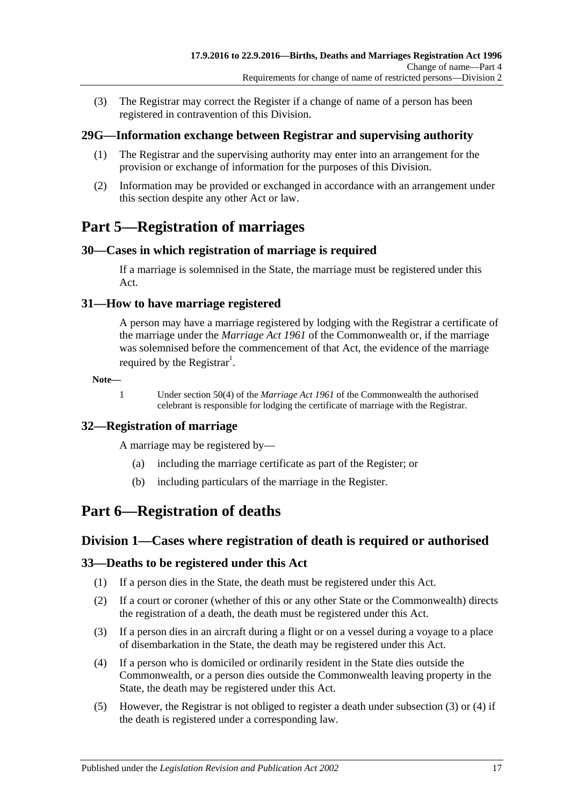(3) The Registrar may correct the Register if a change of name of a person has been registered in contravention of this Division.

## <span id="page-16-0"></span>**29G—Information exchange between Registrar and supervising authority**

- (1) The Registrar and the supervising authority may enter into an arrangement for the provision or exchange of information for the purposes of this Division.
- (2) Information may be provided or exchanged in accordance with an arrangement under this section despite any other Act or law.

# <span id="page-16-1"></span>**Part 5—Registration of marriages**

## <span id="page-16-2"></span>**30—Cases in which registration of marriage is required**

If a marriage is solemnised in the State, the marriage must be registered under this Act.

### <span id="page-16-3"></span>**31—How to have marriage registered**

A person may have a marriage registered by lodging with the Registrar a certificate of the marriage under the *Marriage Act 1961* of the Commonwealth or, if the marriage was solemnised before the commencement of that Act, the evidence of the marriage required by the Registrar<sup>1</sup>.

**Note—**

1 Under section 50(4) of the *Marriage Act 1961* of the Commonwealth the authorised celebrant is responsible for lodging the certificate of marriage with the Registrar.

## <span id="page-16-4"></span>**32—Registration of marriage**

A marriage may be registered by—

- (a) including the marriage certificate as part of the Register; or
- (b) including particulars of the marriage in the Register.

## <span id="page-16-6"></span><span id="page-16-5"></span>**Part 6—Registration of deaths**

## **Division 1—Cases where registration of death is required or authorised**

## <span id="page-16-7"></span>**33—Deaths to be registered under this Act**

- (1) If a person dies in the State, the death must be registered under this Act.
- (2) If a court or coroner (whether of this or any other State or the Commonwealth) directs the registration of a death, the death must be registered under this Act.
- <span id="page-16-8"></span>(3) If a person dies in an aircraft during a flight or on a vessel during a voyage to a place of disembarkation in the State, the death may be registered under this Act.
- <span id="page-16-9"></span>(4) If a person who is domiciled or ordinarily resident in the State dies outside the Commonwealth, or a person dies outside the Commonwealth leaving property in the State, the death may be registered under this Act.
- (5) However, the Registrar is not obliged to register a death under [subsection](#page-16-8) (3) or [\(4\)](#page-16-9) if the death is registered under a corresponding law.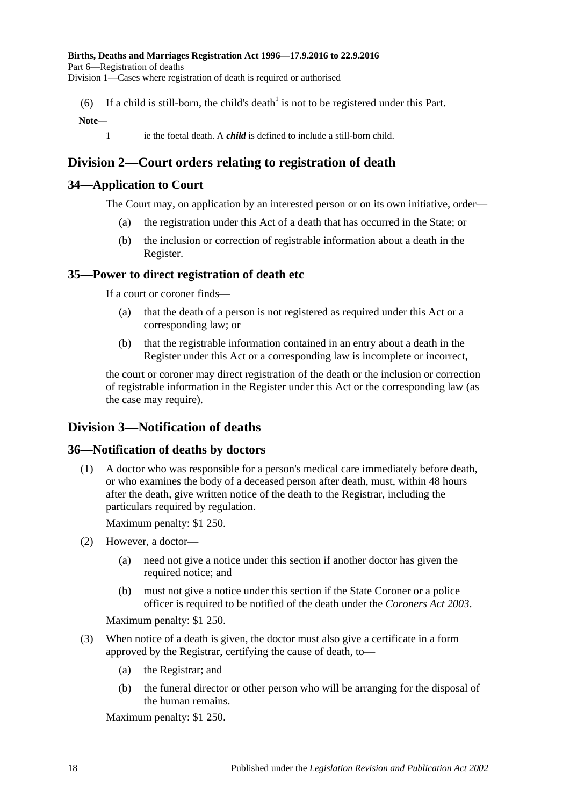(6) If a child is still-born, the child's death<sup>1</sup> is not to be registered under this Part.

#### **Note—**

1 ie the foetal death. A *child* is defined to include a still-born child.

## <span id="page-17-0"></span>**Division 2—Court orders relating to registration of death**

## <span id="page-17-1"></span>**34—Application to Court**

The Court may, on application by an interested person or on its own initiative, order—

- (a) the registration under this Act of a death that has occurred in the State; or
- (b) the inclusion or correction of registrable information about a death in the Register.

## <span id="page-17-2"></span>**35—Power to direct registration of death etc**

If a court or coroner finds—

- (a) that the death of a person is not registered as required under this Act or a corresponding law; or
- (b) that the registrable information contained in an entry about a death in the Register under this Act or a corresponding law is incomplete or incorrect,

the court or coroner may direct registration of the death or the inclusion or correction of registrable information in the Register under this Act or the corresponding law (as the case may require).

## <span id="page-17-3"></span>**Division 3—Notification of deaths**

## <span id="page-17-4"></span>**36—Notification of deaths by doctors**

(1) A doctor who was responsible for a person's medical care immediately before death, or who examines the body of a deceased person after death, must, within 48 hours after the death, give written notice of the death to the Registrar, including the particulars required by regulation.

Maximum penalty: \$1 250.

- (2) However, a doctor—
	- (a) need not give a notice under this section if another doctor has given the required notice; and
	- (b) must not give a notice under this section if the State Coroner or a police officer is required to be notified of the death under the *[Coroners Act](http://www.legislation.sa.gov.au/index.aspx?action=legref&type=act&legtitle=Coroners%20Act%202003) 2003*.

Maximum penalty: \$1 250.

- (3) When notice of a death is given, the doctor must also give a certificate in a form approved by the Registrar, certifying the cause of death, to—
	- (a) the Registrar; and
	- (b) the funeral director or other person who will be arranging for the disposal of the human remains.

Maximum penalty: \$1 250.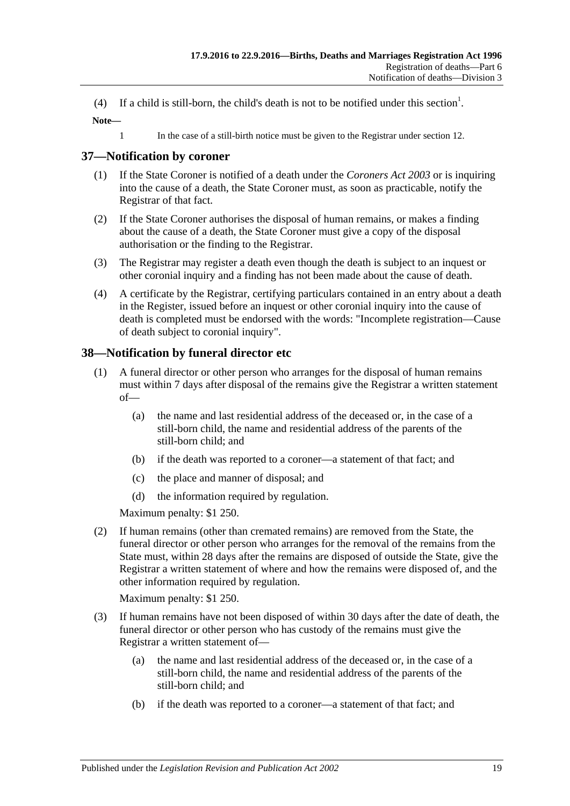(4) If a child is still-born, the child's death is not to be notified under this section<sup>1</sup>.

**Note—**

1 In the case of a still-birth notice must be given to the Registrar under [section](#page-7-2) 12.

## <span id="page-18-0"></span>**37—Notification by coroner**

- (1) If the State Coroner is notified of a death under the *[Coroners Act](http://www.legislation.sa.gov.au/index.aspx?action=legref&type=act&legtitle=Coroners%20Act%202003) 2003* or is inquiring into the cause of a death, the State Coroner must, as soon as practicable, notify the Registrar of that fact.
- (2) If the State Coroner authorises the disposal of human remains, or makes a finding about the cause of a death, the State Coroner must give a copy of the disposal authorisation or the finding to the Registrar.
- (3) The Registrar may register a death even though the death is subject to an inquest or other coronial inquiry and a finding has not been made about the cause of death.
- (4) A certificate by the Registrar, certifying particulars contained in an entry about a death in the Register, issued before an inquest or other coronial inquiry into the cause of death is completed must be endorsed with the words: "Incomplete registration—Cause of death subject to coronial inquiry".

## <span id="page-18-1"></span>**38—Notification by funeral director etc**

- (1) A funeral director or other person who arranges for the disposal of human remains must within 7 days after disposal of the remains give the Registrar a written statement of—
	- (a) the name and last residential address of the deceased or, in the case of a still-born child, the name and residential address of the parents of the still-born child; and
	- (b) if the death was reported to a coroner—a statement of that fact; and
	- (c) the place and manner of disposal; and
	- (d) the information required by regulation.

Maximum penalty: \$1 250.

(2) If human remains (other than cremated remains) are removed from the State, the funeral director or other person who arranges for the removal of the remains from the State must, within 28 days after the remains are disposed of outside the State, give the Registrar a written statement of where and how the remains were disposed of, and the other information required by regulation.

Maximum penalty: \$1 250.

- (3) If human remains have not been disposed of within 30 days after the date of death, the funeral director or other person who has custody of the remains must give the Registrar a written statement of—
	- (a) the name and last residential address of the deceased or, in the case of a still-born child, the name and residential address of the parents of the still-born child; and
	- (b) if the death was reported to a coroner—a statement of that fact; and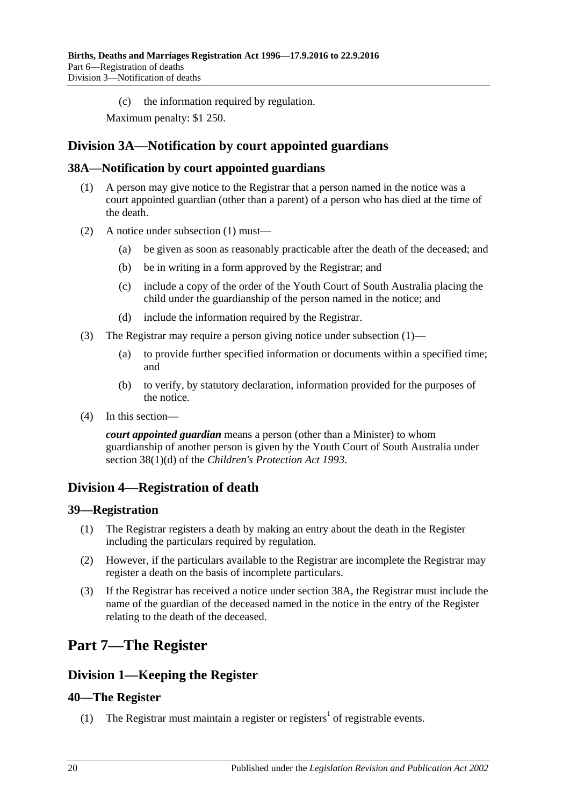(c) the information required by regulation.

Maximum penalty: \$1 250.

## <span id="page-19-0"></span>**Division 3A—Notification by court appointed guardians**

## <span id="page-19-7"></span><span id="page-19-1"></span>**38A—Notification by court appointed guardians**

- (1) A person may give notice to the Registrar that a person named in the notice was a court appointed guardian (other than a parent) of a person who has died at the time of the death.
- (2) A notice under [subsection](#page-19-7) (1) must—
	- (a) be given as soon as reasonably practicable after the death of the deceased; and
	- (b) be in writing in a form approved by the Registrar; and
	- (c) include a copy of the order of the Youth Court of South Australia placing the child under the guardianship of the person named in the notice; and
	- (d) include the information required by the Registrar.
- (3) The Registrar may require a person giving notice under [subsection](#page-19-7) (1)—
	- (a) to provide further specified information or documents within a specified time; and
	- (b) to verify, by statutory declaration, information provided for the purposes of the notice.
- (4) In this section—

*court appointed guardian* means a person (other than a Minister) to whom guardianship of another person is given by the Youth Court of South Australia under section 38(1)(d) of the *[Children's Protection Act](http://www.legislation.sa.gov.au/index.aspx?action=legref&type=act&legtitle=Childrens%20Protection%20Act%201993) 1993*.

## <span id="page-19-2"></span>**Division 4—Registration of death**

## <span id="page-19-3"></span>**39—Registration**

- (1) The Registrar registers a death by making an entry about the death in the Register including the particulars required by regulation.
- (2) However, if the particulars available to the Registrar are incomplete the Registrar may register a death on the basis of incomplete particulars.
- (3) If the Registrar has received a notice under [section](#page-19-1) 38A, the Registrar must include the name of the guardian of the deceased named in the notice in the entry of the Register relating to the death of the deceased.

# <span id="page-19-4"></span>**Part 7—The Register**

## <span id="page-19-5"></span>**Division 1—Keeping the Register**

## <span id="page-19-6"></span>**40—The Register**

(1) The Registrar must maintain a register or registers<sup>1</sup> of registrable events.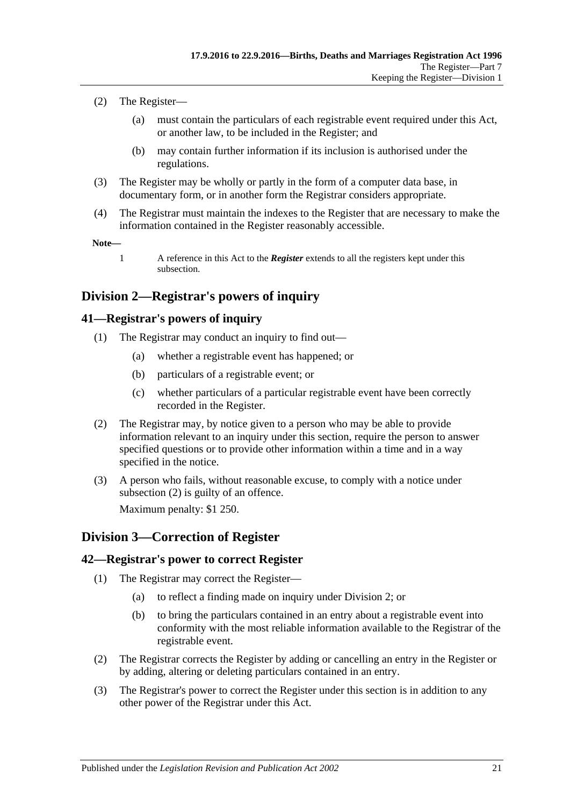- <span id="page-20-4"></span>(2) The Register—
	- (a) must contain the particulars of each registrable event required under this Act, or another law, to be included in the Register; and
	- (b) may contain further information if its inclusion is authorised under the regulations.
- (3) The Register may be wholly or partly in the form of a computer data base, in documentary form, or in another form the Registrar considers appropriate.
- (4) The Registrar must maintain the indexes to the Register that are necessary to make the information contained in the Register reasonably accessible.

**Note—**

1 A reference in this Act to the *Register* extends to all the registers kept under this subsection.

## <span id="page-20-0"></span>**Division 2—Registrar's powers of inquiry**

### <span id="page-20-1"></span>**41—Registrar's powers of inquiry**

- (1) The Registrar may conduct an inquiry to find out—
	- (a) whether a registrable event has happened; or
	- (b) particulars of a registrable event; or
	- (c) whether particulars of a particular registrable event have been correctly recorded in the Register.
- <span id="page-20-5"></span>(2) The Registrar may, by notice given to a person who may be able to provide information relevant to an inquiry under this section, require the person to answer specified questions or to provide other information within a time and in a way specified in the notice.
- (3) A person who fails, without reasonable excuse, to comply with a notice under [subsection](#page-20-5) (2) is guilty of an offence. Maximum penalty: \$1 250.

## <span id="page-20-2"></span>**Division 3—Correction of Register**

## <span id="page-20-3"></span>**42—Registrar's power to correct Register**

- (1) The Registrar may correct the Register—
	- (a) to reflect a finding made on inquiry under [Division 2;](#page-20-0) or
	- (b) to bring the particulars contained in an entry about a registrable event into conformity with the most reliable information available to the Registrar of the registrable event.
- (2) The Registrar corrects the Register by adding or cancelling an entry in the Register or by adding, altering or deleting particulars contained in an entry.
- (3) The Registrar's power to correct the Register under this section is in addition to any other power of the Registrar under this Act.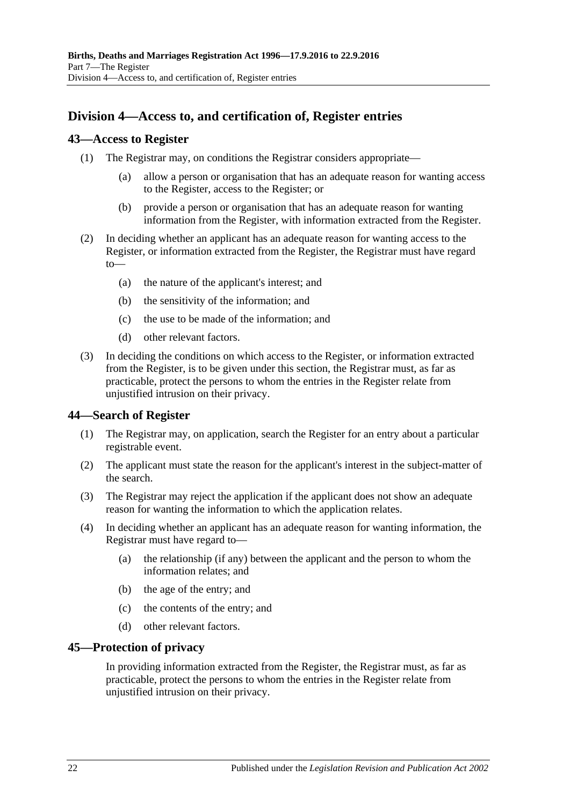## <span id="page-21-0"></span>**Division 4—Access to, and certification of, Register entries**

### <span id="page-21-1"></span>**43—Access to Register**

- (1) The Registrar may, on conditions the Registrar considers appropriate—
	- (a) allow a person or organisation that has an adequate reason for wanting access to the Register, access to the Register; or
	- (b) provide a person or organisation that has an adequate reason for wanting information from the Register, with information extracted from the Register.
- (2) In deciding whether an applicant has an adequate reason for wanting access to the Register, or information extracted from the Register, the Registrar must have regard to—
	- (a) the nature of the applicant's interest; and
	- (b) the sensitivity of the information; and
	- (c) the use to be made of the information; and
	- (d) other relevant factors.
- (3) In deciding the conditions on which access to the Register, or information extracted from the Register, is to be given under this section, the Registrar must, as far as practicable, protect the persons to whom the entries in the Register relate from unjustified intrusion on their privacy.

## <span id="page-21-2"></span>**44—Search of Register**

- (1) The Registrar may, on application, search the Register for an entry about a particular registrable event.
- (2) The applicant must state the reason for the applicant's interest in the subject-matter of the search.
- (3) The Registrar may reject the application if the applicant does not show an adequate reason for wanting the information to which the application relates.
- (4) In deciding whether an applicant has an adequate reason for wanting information, the Registrar must have regard to—
	- (a) the relationship (if any) between the applicant and the person to whom the information relates; and
	- (b) the age of the entry; and
	- (c) the contents of the entry; and
	- (d) other relevant factors.

#### <span id="page-21-3"></span>**45—Protection of privacy**

In providing information extracted from the Register, the Registrar must, as far as practicable, protect the persons to whom the entries in the Register relate from unjustified intrusion on their privacy.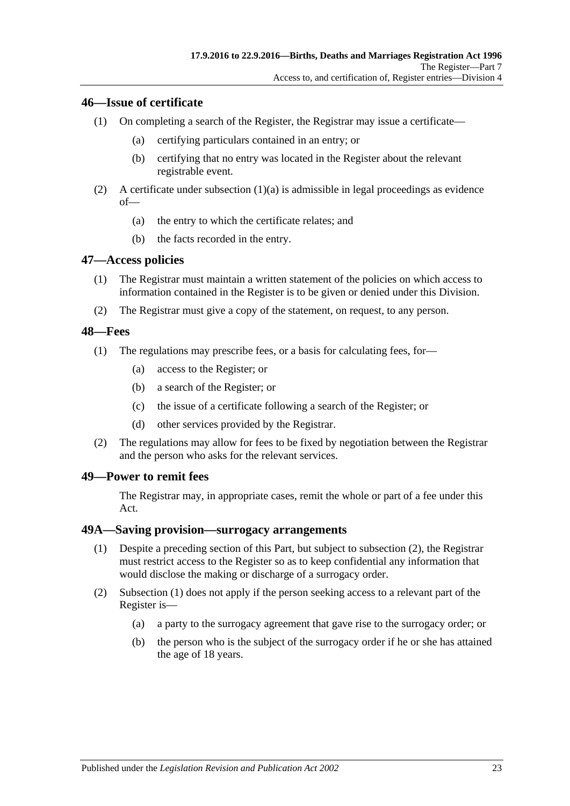### <span id="page-22-0"></span>**46—Issue of certificate**

- <span id="page-22-5"></span>(1) On completing a search of the Register, the Registrar may issue a certificate—
	- (a) certifying particulars contained in an entry; or
	- (b) certifying that no entry was located in the Register about the relevant registrable event.
- (2) A certificate under [subsection](#page-22-5)  $(1)(a)$  is admissible in legal proceedings as evidence of—
	- (a) the entry to which the certificate relates; and
	- (b) the facts recorded in the entry.

### <span id="page-22-1"></span>**47—Access policies**

- (1) The Registrar must maintain a written statement of the policies on which access to information contained in the Register is to be given or denied under this Division.
- (2) The Registrar must give a copy of the statement, on request, to any person.

## <span id="page-22-2"></span>**48—Fees**

- (1) The regulations may prescribe fees, or a basis for calculating fees, for—
	- (a) access to the Register; or
	- (b) a search of the Register; or
	- (c) the issue of a certificate following a search of the Register; or
	- (d) other services provided by the Registrar.
- (2) The regulations may allow for fees to be fixed by negotiation between the Registrar and the person who asks for the relevant services.

#### <span id="page-22-3"></span>**49—Power to remit fees**

The Registrar may, in appropriate cases, remit the whole or part of a fee under this Act.

### <span id="page-22-7"></span><span id="page-22-4"></span>**49A—Saving provision—surrogacy arrangements**

- (1) Despite a preceding section of this Part, but subject to [subsection](#page-22-6) (2), the Registrar must restrict access to the Register so as to keep confidential any information that would disclose the making or discharge of a surrogacy order.
- <span id="page-22-6"></span>(2) [Subsection](#page-22-7) (1) does not apply if the person seeking access to a relevant part of the Register is—
	- (a) a party to the surrogacy agreement that gave rise to the surrogacy order; or
	- (b) the person who is the subject of the surrogacy order if he or she has attained the age of 18 years.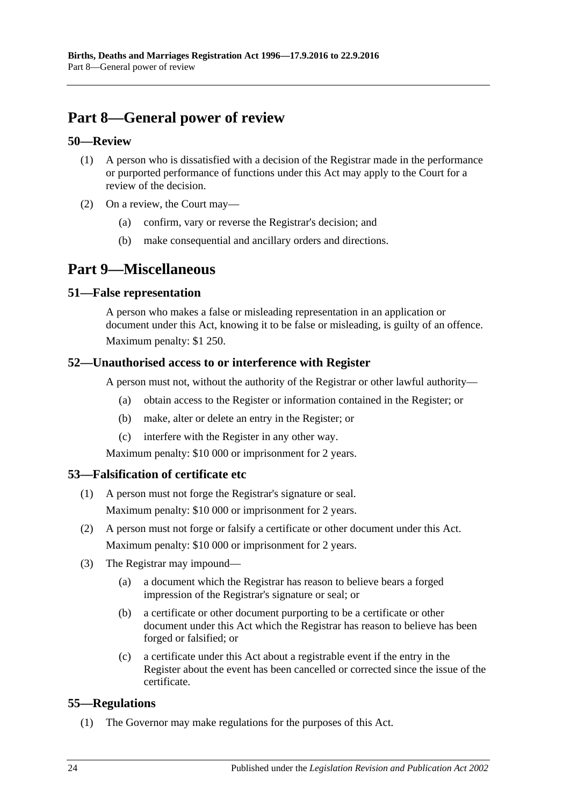# <span id="page-23-0"></span>**Part 8—General power of review**

## <span id="page-23-1"></span>**50—Review**

- (1) A person who is dissatisfied with a decision of the Registrar made in the performance or purported performance of functions under this Act may apply to the Court for a review of the decision.
- (2) On a review, the Court may
	- confirm, vary or reverse the Registrar's decision; and
	- (b) make consequential and ancillary orders and directions.

## <span id="page-23-2"></span>**Part 9—Miscellaneous**

## <span id="page-23-3"></span>**51—False representation**

A person who makes a false or misleading representation in an application or document under this Act, knowing it to be false or misleading, is guilty of an offence. Maximum penalty: \$1 250.

## <span id="page-23-4"></span>**52—Unauthorised access to or interference with Register**

A person must not, without the authority of the Registrar or other lawful authority—

- (a) obtain access to the Register or information contained in the Register; or
- (b) make, alter or delete an entry in the Register; or
- (c) interfere with the Register in any other way.

Maximum penalty: \$10 000 or imprisonment for 2 years.

## <span id="page-23-5"></span>**53—Falsification of certificate etc**

- (1) A person must not forge the Registrar's signature or seal. Maximum penalty: \$10 000 or imprisonment for 2 years.
- (2) A person must not forge or falsify a certificate or other document under this Act. Maximum penalty: \$10 000 or imprisonment for 2 years.
- (3) The Registrar may impound—
	- (a) a document which the Registrar has reason to believe bears a forged impression of the Registrar's signature or seal; or
	- (b) a certificate or other document purporting to be a certificate or other document under this Act which the Registrar has reason to believe has been forged or falsified; or
	- (c) a certificate under this Act about a registrable event if the entry in the Register about the event has been cancelled or corrected since the issue of the certificate.

## <span id="page-23-7"></span><span id="page-23-6"></span>**55—Regulations**

(1) The Governor may make regulations for the purposes of this Act.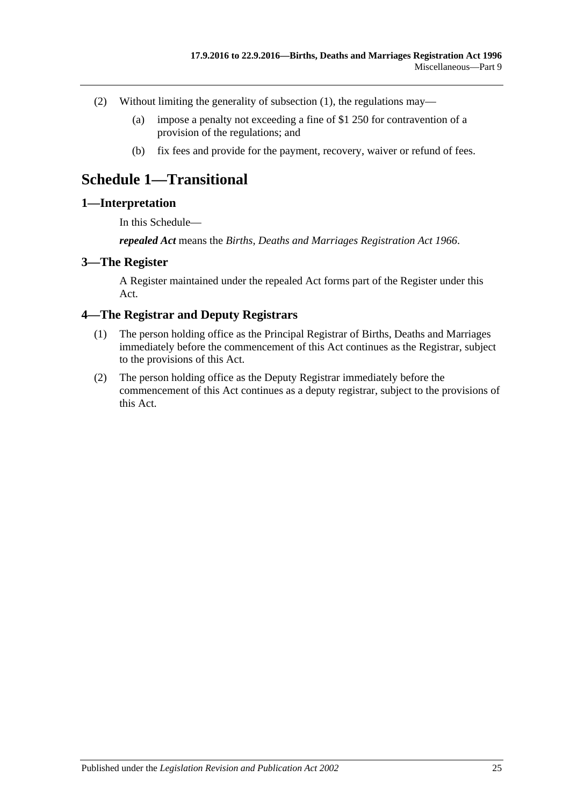- (2) Without limiting the generality of [subsection](#page-23-7) (1), the regulations may—
	- (a) impose a penalty not exceeding a fine of \$1 250 for contravention of a provision of the regulations; and
	- (b) fix fees and provide for the payment, recovery, waiver or refund of fees.

## <span id="page-24-0"></span>**Schedule 1—Transitional**

### <span id="page-24-1"></span>**1—Interpretation**

In this Schedule—

*repealed Act* means the *[Births, Deaths and Marriages Registration Act](http://www.legislation.sa.gov.au/index.aspx?action=legref&type=act&legtitle=Births%20Deaths%20and%20Marriages%20Registration%20Act%201966) 1966*.

#### <span id="page-24-2"></span>**3—The Register**

A Register maintained under the repealed Act forms part of the Register under this Act.

### <span id="page-24-3"></span>**4—The Registrar and Deputy Registrars**

- (1) The person holding office as the Principal Registrar of Births, Deaths and Marriages immediately before the commencement of this Act continues as the Registrar, subject to the provisions of this Act.
- (2) The person holding office as the Deputy Registrar immediately before the commencement of this Act continues as a deputy registrar, subject to the provisions of this Act.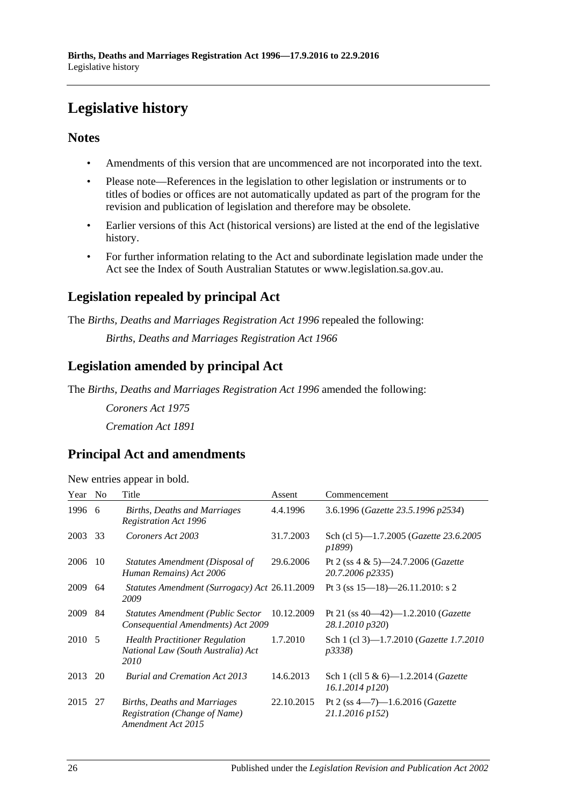# <span id="page-25-0"></span>**Legislative history**

## **Notes**

- Amendments of this version that are uncommenced are not incorporated into the text.
- Please note—References in the legislation to other legislation or instruments or to titles of bodies or offices are not automatically updated as part of the program for the revision and publication of legislation and therefore may be obsolete.
- Earlier versions of this Act (historical versions) are listed at the end of the legislative history.
- For further information relating to the Act and subordinate legislation made under the Act see the Index of South Australian Statutes or www.legislation.sa.gov.au.

## **Legislation repealed by principal Act**

The *Births, Deaths and Marriages Registration Act 1996* repealed the following:

*Births, Deaths and Marriages Registration Act 1966*

## **Legislation amended by principal Act**

The *Births, Deaths and Marriages Registration Act 1996* amended the following:

*Coroners Act 1975 Cremation Act 1891*

## **Principal Act and amendments**

| New entries appear in bold. |  |  |  |  |  |
|-----------------------------|--|--|--|--|--|
|-----------------------------|--|--|--|--|--|

| Year    | N <sub>0</sub> | Title                                                                               | Assent     | Commencement                                                       |
|---------|----------------|-------------------------------------------------------------------------------------|------------|--------------------------------------------------------------------|
| 1996 6  |                | Births, Deaths and Marriages<br><b>Registration Act 1996</b>                        | 4.4.1996   | 3.6.1996 (Gazette 23.5.1996 p2534)                                 |
| 2003    | 33             | Coroners Act 2003                                                                   | 31.7.2003  | Sch (cl 5)—1.7.2005 ( <i>Gazette 23.6.2005</i><br>p1899)           |
| 2006    | 10             | Statutes Amendment (Disposal of<br>Human Remains) Act 2006                          | 29.6.2006  | Pt 2 (ss $4 \& 5$ )-24.7.2006 ( <i>Gazette</i><br>20.7.2006 p2335) |
| 2009    | 64             | <i>Statutes Amendment (Surrogacy) Act 26.11.2009</i><br>2009                        |            | Pt 3 (ss $15-18$ )-26.11.2010: s 2                                 |
| 2009    | 84             | <b>Statutes Amendment (Public Sector</b><br>Consequential Amendments) Act 2009      | 10.12.2009 | Pt 21 (ss $40-42$ )-1.2.2010 ( <i>Gazette</i><br>28.1.2010 p320)   |
| 2010 5  |                | <b>Health Practitioner Regulation</b><br>National Law (South Australia) Act<br>2010 | 1.7.2010   | Sch 1 (cl 3)-1.7.2010 (Gazette 1.7.2010<br><i>p3338</i> )          |
| 2013    | 20             | <b>Burial and Cremation Act 2013</b>                                                | 14.6.2013  | Sch 1 (cll 5 & 6)—1.2.2014 ( <i>Gazette</i><br>$16.1.2014$ $p120$  |
| 2015 27 |                | Births, Deaths and Marriages<br>Registration (Change of Name)<br>Amendment Act 2015 | 22.10.2015 | Pt 2 (ss $4-7$ )-1.6.2016 ( <i>Gazette</i><br>21.1.2016 p152)      |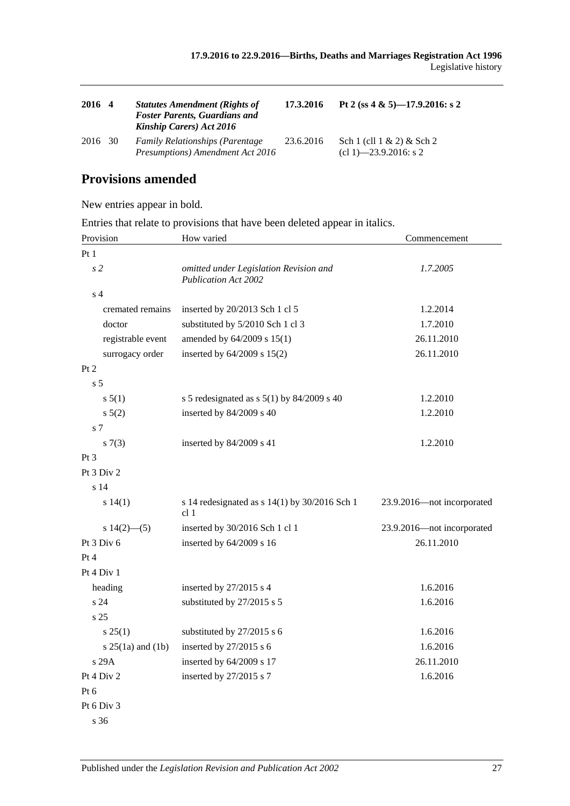| 2016 4  | <b>Statutes Amendment (Rights of</b><br><b>Foster Parents, Guardians and</b><br><b>Kinship Carers)</b> Act 2016 | 17.3.2016 | Pt 2 (ss 4 & 5)-17.9.2016: s 2                          |
|---------|-----------------------------------------------------------------------------------------------------------------|-----------|---------------------------------------------------------|
| 2016 30 | <b>Family Relationships (Parentage)</b><br>Presumptions) Amendment Act 2016                                     | 23.6.2016 | Sch 1 (cll $1 \& 2$ ) & Sch 2<br>$cl 1$ –23.9.2016: s 2 |

## **Provisions amended**

New entries appear in bold.

Entries that relate to provisions that have been deleted appear in italics.

| Provision             | How varied                                                            | Commencement               |  |
|-----------------------|-----------------------------------------------------------------------|----------------------------|--|
| Pt1                   |                                                                       |                            |  |
| s <sub>2</sub>        | omitted under Legislation Revision and<br><b>Publication Act 2002</b> | 1.7.2005                   |  |
| s <sub>4</sub>        |                                                                       |                            |  |
| cremated remains      | inserted by 20/2013 Sch 1 cl 5                                        | 1.2.2014                   |  |
| doctor                | substituted by 5/2010 Sch 1 cl 3                                      | 1.7.2010                   |  |
| registrable event     | amended by 64/2009 s 15(1)                                            | 26.11.2010                 |  |
| surrogacy order       | inserted by 64/2009 s 15(2)                                           | 26.11.2010                 |  |
| Pt 2                  |                                                                       |                            |  |
| s <sub>5</sub>        |                                                                       |                            |  |
| s 5(1)                | s 5 redesignated as s $5(1)$ by 84/2009 s 40                          | 1.2.2010                   |  |
| s 5(2)                | inserted by 84/2009 s 40                                              | 1.2.2010                   |  |
| s 7                   |                                                                       |                            |  |
| s(7(3))               | inserted by 84/2009 s 41                                              | 1.2.2010                   |  |
| $Pt\,3$               |                                                                       |                            |  |
| Pt 3 Div 2            |                                                                       |                            |  |
| s 14                  |                                                                       |                            |  |
| s 14(1)               | s 14 redesignated as $s$ 14(1) by 30/2016 Sch 1<br>cl <sub>1</sub>    | 23.9.2016-not incorporated |  |
| s $14(2)$ —(5)        | inserted by 30/2016 Sch 1 cl 1                                        | 23.9.2016-not incorporated |  |
| Pt 3 Div 6            | inserted by 64/2009 s 16                                              | 26.11.2010                 |  |
| Pt 4                  |                                                                       |                            |  |
| Pt 4 Div 1            |                                                                       |                            |  |
| heading               | inserted by 27/2015 s 4                                               | 1.6.2016                   |  |
| s 24                  | substituted by 27/2015 s 5                                            | 1.6.2016                   |  |
| s <sub>25</sub>       |                                                                       |                            |  |
| s 25(1)               | substituted by 27/2015 s 6                                            | 1.6.2016                   |  |
| s $25(1a)$ and $(1b)$ | inserted by 27/2015 s 6                                               | 1.6.2016                   |  |
| s 29A                 | inserted by 64/2009 s 17                                              | 26.11.2010                 |  |
| Pt $4 \mathrm{Div} 2$ | inserted by 27/2015 s 7                                               | 1.6.2016                   |  |
| Pt 6                  |                                                                       |                            |  |
| Pt 6 Div 3            |                                                                       |                            |  |
| s 36                  |                                                                       |                            |  |